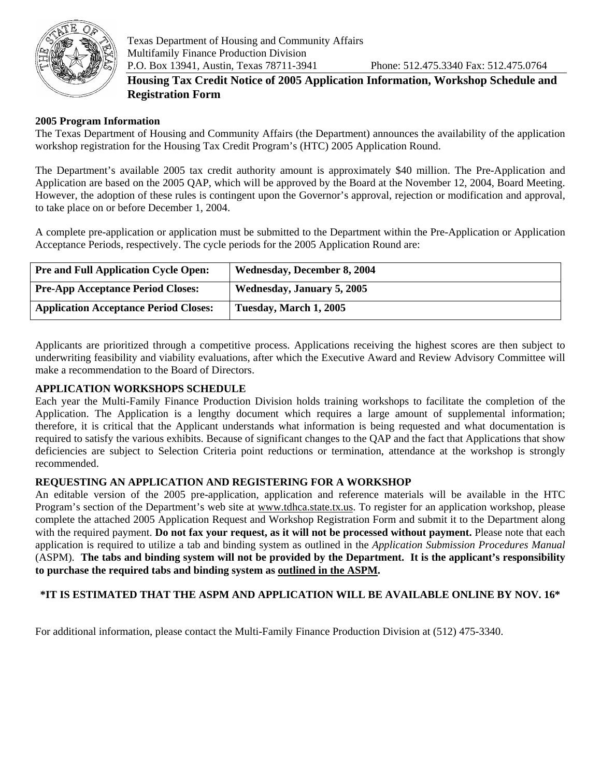

# **Housing Tax Credit Notice of 2005 Application Information, Workshop Schedule and Registration Form**

## **2005 Program Information**

The Texas Department of Housing and Community Affairs (the Department) announces the availability of the application workshop registration for the Housing Tax Credit Program's (HTC) 2005 Application Round.

The Department's available 2005 tax credit authority amount is approximately \$40 million. The Pre-Application and Application are based on the 2005 QAP, which will be approved by the Board at the November 12, 2004, Board Meeting. However, the adoption of these rules is contingent upon the Governor's approval, rejection or modification and approval, to take place on or before December 1, 2004.

A complete pre-application or application must be submitted to the Department within the Pre-Application or Application Acceptance Periods, respectively. The cycle periods for the 2005 Application Round are:

| <b>Pre and Full Application Cycle Open:</b>  | Wednesday, December 8, 2004 |
|----------------------------------------------|-----------------------------|
| <b>Pre-App Acceptance Period Closes:</b>     | Wednesday, January 5, 2005  |
| <b>Application Acceptance Period Closes:</b> | Tuesday, March 1, 2005      |

Applicants are prioritized through a competitive process. Applications receiving the highest scores are then subject to underwriting feasibility and viability evaluations, after which the Executive Award and Review Advisory Committee will make a recommendation to the Board of Directors.

#### **APPLICATION WORKSHOPS SCHEDULE**

Each year the Multi-Family Finance Production Division holds training workshops to facilitate the completion of the Application. The Application is a lengthy document which requires a large amount of supplemental information; therefore, it is critical that the Applicant understands what information is being requested and what documentation is required to satisfy the various exhibits. Because of significant changes to the QAP and the fact that Applications that show deficiencies are subject to Selection Criteria point reductions or termination, attendance at the workshop is strongly recommended.

#### **REQUESTING AN APPLICATION AND REGISTERING FOR A WORKSHOP**

An editable version of the 2005 pre-application, application and reference materials will be available in the HTC Program's section of the Department's web site at [www.tdhca.state.tx.us.](http://www.tdhca.state.tx.us/) To register for an application workshop, please complete the attached 2005 Application Request and Workshop Registration Form and submit it to the Department along with the required payment. **Do not fax your request, as it will not be processed without payment.** Please note that each application is required to utilize a tab and binding system as outlined in the *Application Submission Procedures Manual*  (ASPM). **The tabs and binding system will not be provided by the Department. It is the applicant's responsibility to purchase the required tabs and binding system as outlined in the ASPM.**

## **\*IT IS ESTIMATED THAT THE ASPM AND APPLICATION WILL BE AVAILABLE ONLINE BY NOV. 16\***

For additional information, please contact the Multi-Family Finance Production Division at (512) 475-3340.